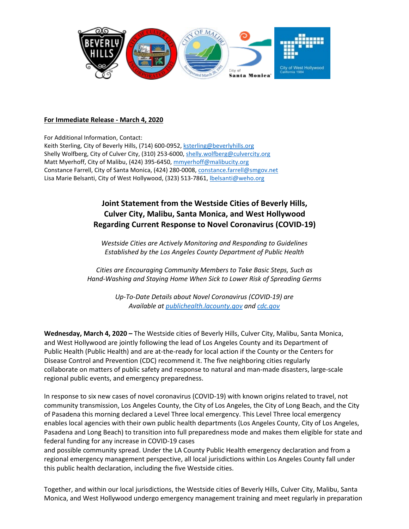

## **For Immediate Release - March 4, 2020**

For Additional Information, Contact: Keith Sterling, City of Beverly Hills, (714) 600-0952[, ksterling@beverlyhills.org](mailto:ksterling@beverlyhills.org) Shelly Wolfberg, City of Culver City, (310) 253-6000[, shelly.wolfberg@culvercity.org](mailto:shelly.wolfberg@culvercity.org) Matt Myerhoff, City of Malibu, (424) 395-6450, [mmyerhoff@malibucity.org](mailto:mmyerhoff@malibucity.org) Constance Farrell, City of Santa Monica, (424) 280-0008, [constance.farrell@smgov.net](mailto:constance.farrell@smgov.net) Lisa Marie Belsanti, City of West Hollywood, (323) 513-7861, [lbelsanti@weho.org](mailto:lbelsanti@weho.org)

## **Joint Statement from the Westside Cities of Beverly Hills, Culver City, Malibu, Santa Monica, and West Hollywood Regarding Current Response to Novel Coronavirus (COVID-19)**

*Westside Cities are Actively Monitoring and Responding to Guidelines Established by the Los Angeles County Department of Public Health*

*Cities are Encouraging Community Members to Take Basic Steps, Such as Hand-Washing and Staying Home When Sick to Lower Risk of Spreading Germs*

> *Up-To-Date Details about Novel Coronavirus (COVID-19) are Available at [publichealth.lacounty.gov](http://publichealth.lacounty.gov/media/Coronavirus/) and [cdc.gov](https://www.cdc.gov/coronavirus/2019-ncov/index.html)*

**Wednesday, March 4, 2020 –** The Westside cities of Beverly Hills, Culver City, Malibu, Santa Monica, and West Hollywood are jointly following the lead of Los Angeles County and its Department of Public Health (Public Health) and are at-the-ready for local action if the County or the Centers for Disease Control and Prevention (CDC) recommend it. The five neighboring cities regularly collaborate on matters of public safety and response to natural and man-made disasters, large-scale regional public events, and emergency preparedness.

In response to six new cases of novel coronavirus (COVID-19) with known origins related to travel, not community transmission, Los Angeles County, the City of Los Angeles, the City of Long Beach, and the City of Pasadena this morning declared a Level Three local emergency. This Level Three local emergency enables local agencies with their own public health departments (Los Angeles County, City of Los Angeles, Pasadena and Long Beach) to transition into full preparedness mode and makes them eligible for state and federal funding for any increase in COVID-19 cases

and possible community spread. Under the LA County Public Health emergency declaration and from a regional emergency management perspective, all local jurisdictions within Los Angeles County fall under this public health declaration, including the five Westside cities.

Together, and within our local jurisdictions, the Westside cities of Beverly Hills, Culver City, Malibu, Santa Monica, and West Hollywood undergo emergency management training and meet regularly in preparation